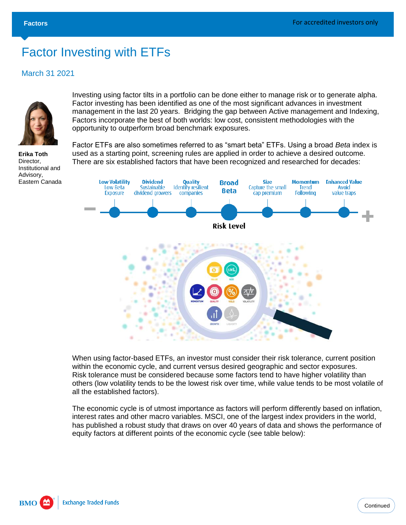## Factor Investing with ETFs

## March 31 2021



**Erika Toth** Director, Institutional and Advisory, Eastern Canada

Investing using factor tilts in a portfolio can be done either to manage risk or to generate alpha. Factor investing has been identified as one of the most significant advances in investment management in the last 20 years. Bridging the gap between Active management and Indexing, Factors incorporate the best of both worlds: low cost, consistent methodologies with the opportunity to outperform broad benchmark exposures.

Factor ETFs are also sometimes referred to as "smart beta" ETFs. Using a broad *Beta* index is used as a starting point, screening rules are applied in order to achieve a desired outcome. There are six established factors that have been recognized and researched for decades:



When using factor-based ETFs, an investor must consider their risk tolerance, current position within the economic cycle, and current versus desired geographic and sector exposures. Risk tolerance must be considered because some factors tend to have higher volatility than others (low volatility tends to be the lowest risk over time, while value tends to be most volatile of all the established factors).

The economic cycle is of utmost importance as factors will perform differently based on inflation, interest rates and other macro variables. MSCI, one of the largest index providers in the world, has published a robust study that draws on over 40 years of data and shows the performance of equity factors at different points of the economic cycle (see table below):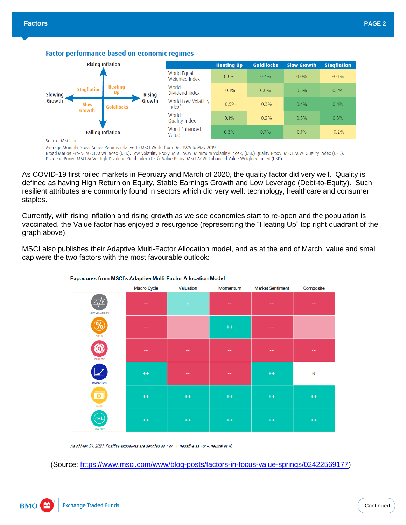



Source: MSCLInc

Average Monthly Gross Active Returns relative to MSCI World from Dec 1975 to May 2019.

Broad Market Proxy: MSCI ACWI Index (USD), Low Volatility Proxy: MSCI ACWI Minimum Volatility Index, (USD) Quality Proxy: MSCI ACWI Quality Index (USD), Dividend Proxy: MSCI ACWI High Dividend Yield Index (USD), Value Proxy: MSCI ACWI Enhanced Value Weighted Index (USD).

As COVID-19 first roiled markets in February and March of 2020, the quality factor did very well. Quality is defined as having High Return on Equity, Stable Earnings Growth and Low Leverage (Debt-to-Equity). Such resilient attributes are commonly found in sectors which did very well: technology, healthcare and consumer staples.

Currently, with rising inflation and rising growth as we see economies start to re-open and the population is vaccinated, the Value factor has enjoyed a resurgence (representing the "Heating Up" top right quadrant of the graph above).

MSCI also publishes their Adaptive Multi-Factor Allocation model, and as at the end of March, value and small cap were the two factors with the most favourable outlook:



**Exposures from MSCI's Adaptive Multi-Factor Allocation Model** 

As of Mar. 31, 2021. Positive exposures are denoted as + or ++, negative as - or --, neutral as N.

(Source: [https://www.msci.com/www/blog-posts/factors-in-focus-value-springs/02422569177\)](https://www.msci.com/www/blog-posts/factors-in-focus-value-springs/02422569177)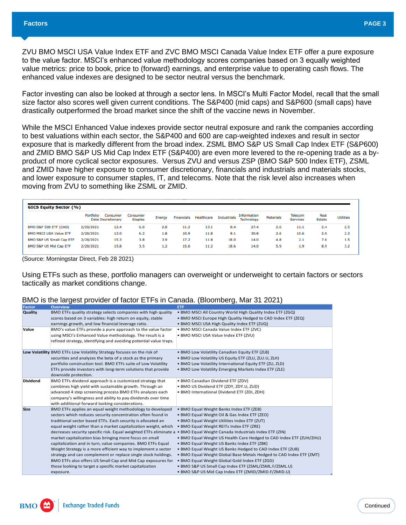ZVU BMO MSCI USA Value Index ETF and ZVC BMO MSCI Canada Value Index ETF offer a pure exposure to the value factor. MSCI's enhanced value methodology scores companies based on 3 equally weighted value metrics: price to book, price to (forward) earnings, and enterprise value to operating cash flows. The enhanced value indexes are designed to be sector neutral versus the benchmark.

Factor investing can also be looked at through a sector lens. In MSCI's Multi Factor Model, recall that the small size factor also scores well given current conditions. The S&P400 (mid caps) and S&P600 (small caps) have drastically outperformed the broad market since the shift of the vaccine news in November.

While the MSCI Enhanced Value indexes provide sector neutral exposure and rank the companies according to best valuations within each sector, the S&P400 and 600 are cap-weighted indexes and result in sector exposure that is markedly different from the broad index. ZSML BMO S&P US Small Cap Index ETF (S&P600) and ZMID BMO S&P US Mid Cap Index ETF (S&P400) are even more levered to the re-opening trade as a byproduct of more cyclical sector exposures. Versus ZVU and versus ZSP (BMO S&P 500 Index ETF), ZSML and ZMID have higher exposure to consumer discretionary, financials and industrials and materials stocks, and lower exposure to consumer staples, IT, and telecoms. Note that the risk level also increases when moving from ZVU to something like ZSML or ZMID.

| <b>GICS Equity Sector (%)</b>    |           |                                       |                            |        |                   |            |                    |                                  |                  |                            |                       |                  |
|----------------------------------|-----------|---------------------------------------|----------------------------|--------|-------------------|------------|--------------------|----------------------------------|------------------|----------------------------|-----------------------|------------------|
|                                  | Portfolio | Consumer<br><b>Date Discretionary</b> | Consumer<br><b>Staples</b> | Energy | <b>Financials</b> | Healthcare | <b>Industrials</b> | Information<br><b>Technology</b> | <b>Materials</b> | Telecom<br><b>Services</b> | Real<br><b>Estate</b> | <b>Utilities</b> |
| <b>BMO S&amp;P 500 ETF (CAD)</b> | 2/28/2021 | 12.4                                  | 6.0                        | 2.8    | 11.2              | 13.1       | 8.4                | 27.4                             | 2.6              | 11.1                       | 2.4                   | 2.5              |
| <b>BMO MSCI USA Value ETF</b>    | 2/28/2021 | 12.0                                  | 6.2                        | 1.8    | 10.9              | 11.8       | 8.1                | 30.8                             | 2.6              | 10.6                       | 2.9                   | 2.3              |
| BMO S&P US Small Cap ETF         | 2/28/2021 | 15.3                                  | 3.8                        | 3.9    | 17.2              | 11.8       | 18.0               | 14.0                             | 4.8              | 2.1                        | 7.6                   | 1.5              |
| BMO S&P US Mid Cap ETF           | 2/28/2021 | 15.8                                  | 3.5                        | 1.2    | 15.6              | 11.2       | 18.6               | 14.0                             | 5.9              | 1.9                        | 8.9                   | 3.2              |

(Source: Morningstar Direct, Feb 28 2021)

Using ETFs such as these, portfolio managers can overweight or underweight to certain factors or sectors tactically as market conditions change.

## BMO is the largest provider of factor ETFs in Canada. (Bloomberg, Mar 31 2021)

| <b>Factor</b>   | <b>Overview</b>                                                                                                         | <b>ETF</b>                                                          |
|-----------------|-------------------------------------------------------------------------------------------------------------------------|---------------------------------------------------------------------|
| Quality         | BMO ETFs quality strategy selects companies with high quality                                                           | . BMO MSCI All Country World High Quality Index ETF (ZGQ)           |
|                 | scores based on 3 variables: high return on equity, stable                                                              | . BMO MSCI Europe High Quality Hedged to CAD Index ETF (ZEQ)        |
|                 | earnings growth, and low financial leverage ratio.                                                                      | . BMO MSCI USA High Quality Index ETF (ZUQ)                         |
| Value           | BMO's value ETFs provide a pure approach to the value factor                                                            | · BMO MSCI Canada Value Index ETF (ZVC)                             |
|                 | using MSCI's Enhanced Value methodology. The result is a                                                                | . BMO MSCI USA Value Index ETF (ZVU)                                |
|                 | refined strategy, identifying and avoiding potential value traps.                                                       |                                                                     |
|                 | Low Volatility BMO ETFs Low Volatility Strategy focuses on the risk of                                                  | . BMO Low Volatility Canadian Equity ETF (ZLB)                      |
|                 | securities and analyzes the beta of a stock as the primary                                                              | . BMO Low Volatility US Equity ETF (ZLU, ZLU.U, ZLH)                |
|                 | portfolio construction tool. BMO ETFs suite of Low Volatility                                                           | . BMO Low Volatility International Equity ETF (ZLI, ZLD)            |
|                 | ETFs provide investors with long-term solutions that provide                                                            | . BMO Low Volatility Emerging Markets Index ETF (ZLE)               |
|                 | downside protection.                                                                                                    |                                                                     |
| <b>Dividend</b> | BMO ETFs dividend approach is a customized strategy that                                                                | • BMO Canadian Dividend ETF (ZDV)                                   |
|                 | combines high yield with sustainable growth. Through an                                                                 | . BMO US Dividend ETF (ZDY, ZDY.U, ZUD)                             |
|                 | advanced 4 step screening process BMO ETFs analyzes each                                                                | • BMO International Dividend ETF (ZDI, ZDH)                         |
|                 | company's willingness and ability to pay dividends over time                                                            |                                                                     |
|                 | with additional forward looking considerations.                                                                         |                                                                     |
| <b>Size</b>     | BMO ETFs applies an equal weight methodology to developed                                                               | • BMO Equal Weight Banks Index ETF (ZEB)                            |
|                 | sectors which reduces security concentration often found in                                                             | • BMO Equal Weight Oil & Gas Index ETF (ZEO)                        |
|                 | traditional sector based ETFs. Each security is allocated an                                                            | • BMO Equal Weight Utilities Index ETF (ZUT)                        |
|                 | equal weight rather than a market capitalization weight, which                                                          | • BMO Equal Weight REITs Index ETF (ZRE)                            |
|                 | decreases security specific risk. Equal weighted ETFs eliminate a • BMO Equal Weight Canada Industrials Index ETF (ZIN) |                                                                     |
|                 | market capitalization bias bringing more focus on small                                                                 | . BMO Equal Weight US Health Care Hedged to CAD Index ETF (ZUH/ZHU) |
|                 | capitalization and in turn, value companies. BMO ETFs Equal                                                             | • BMO Equal Weight US Banks Index ETF (ZBK)                         |
|                 | Weight Strategy is a more efficient way to implement a sector                                                           | . BMO Equal Weight US Banks Hedged to CAD Index ETF (ZUB)           |
|                 | strategy and can complement or replace single stock holdings.                                                           | . BMO Equal Weight Global Base Metals Hedged to CAD Index ETF (ZMT) |
|                 | BMO ETFs also offers US Small Cap and Mid Cap exposures for                                                             | • BMO Equal Weight Global Gold Index ETF (ZGD)                      |
|                 | those looking to target a specific market capitalization                                                                | · BMO S&P US Small Cap Index ETF (ZSML/ZSML.F/ZSML.U)               |
|                 | exposure.                                                                                                               | . BMO S&P US Mid Cap Index ETF (ZMID/ZMID.F/ZMID.U)                 |

**BMO**